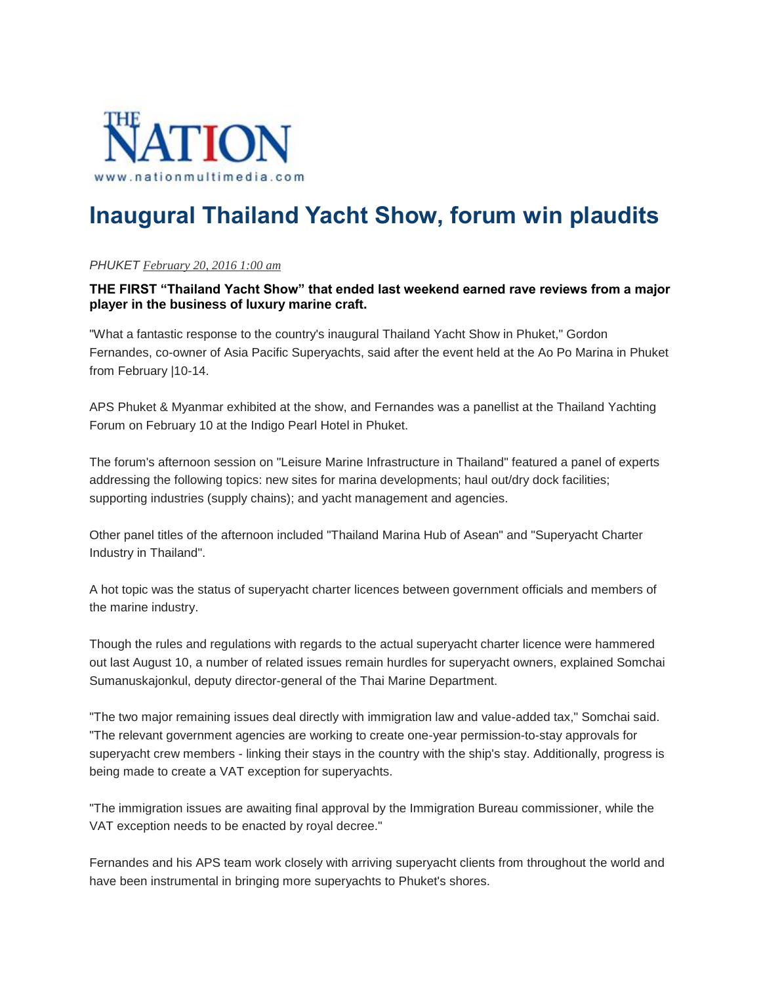

## **Inaugural Thailand Yacht Show, forum win plaudits**

## *PHUKET February 20, 2016 1:00 am*

## **THE FIRST "Thailand Yacht Show" that ended last weekend earned rave reviews from a major player in the business of luxury marine craft.**

"What a fantastic response to the country's inaugural Thailand Yacht Show in Phuket," Gordon Fernandes, co-owner of Asia Pacific Superyachts, said after the event held at the Ao Po Marina in Phuket from February |10-14.

APS Phuket & Myanmar exhibited at the show, and Fernandes was a panellist at the Thailand Yachting Forum on February 10 at the Indigo Pearl Hotel in Phuket.

The forum's afternoon session on "Leisure Marine Infrastructure in Thailand" featured a panel of experts addressing the following topics: new sites for marina developments; haul out/dry dock facilities; supporting industries (supply chains); and yacht management and agencies.

Other panel titles of the afternoon included "Thailand Marina Hub of Asean" and "Superyacht Charter Industry in Thailand".

A hot topic was the status of superyacht charter licences between government officials and members of the marine industry.

Though the rules and regulations with regards to the actual superyacht charter licence were hammered out last August 10, a number of related issues remain hurdles for superyacht owners, explained Somchai Sumanuskajonkul, deputy director-general of the Thai Marine Department.

"The two major remaining issues deal directly with immigration law and value-added tax," Somchai said. "The relevant government agencies are working to create one-year permission-to-stay approvals for superyacht crew members - linking their stays in the country with the ship's stay. Additionally, progress is being made to create a VAT exception for superyachts.

"The immigration issues are awaiting final approval by the Immigration Bureau commissioner, while the VAT exception needs to be enacted by royal decree."

Fernandes and his APS team work closely with arriving superyacht clients from throughout the world and have been instrumental in bringing more superyachts to Phuket's shores.